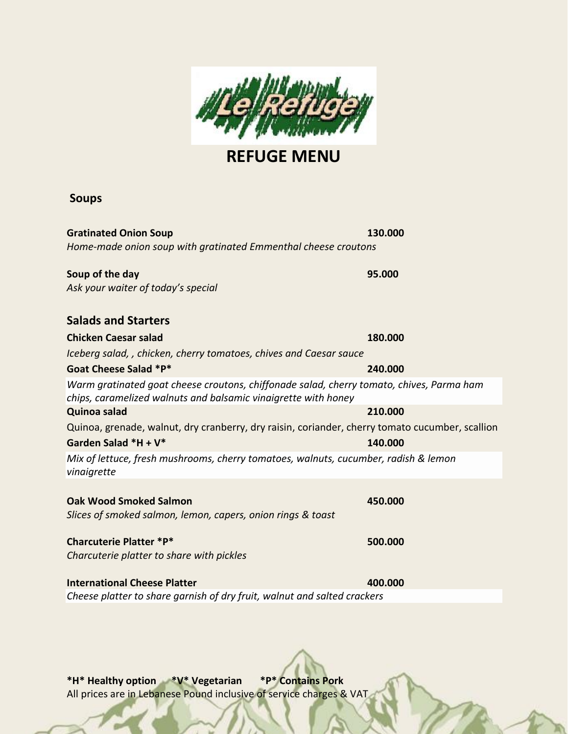

**REFUGE MENU**

#### **Soups**

**Gratinated Onion Soup 130.000** *Home-made onion soup with gratinated Emmenthal cheese croutons*

**Soup of the day 95.000** *Ask your waiter of today's special*

**Salads and Starters Chicken Caesar salad 180.000** *Iceberg salad, , chicken, cherry tomatoes, chives and Caesar sauce* **Goat Cheese Salad \*P\* 240.000** *Warm gratinated goat cheese croutons, chiffonade salad, cherry tomato, chives, Parma ham chips, caramelized walnuts and balsamic vinaigrette with honey* **Quinoa salad 210.000** Quinoa, grenade, walnut, dry cranberry, dry raisin, coriander, cherry tomato cucumber, scallion **Garden Salad \*H + V\* 140.000** *Mix of lettuce, fresh mushrooms, cherry tomatoes, walnuts, cucumber, radish & lemon vinaigrette*  **Oak Wood Smoked Salmon 450.000** *Slices of smoked salmon, lemon, capers, onion rings & toast* **Charcuterie Platter \*P\* 500.000** *Charcuterie platter to share with pickles*  **International Cheese Platter 400.000**

*Cheese platter to share garnish of dry fruit, walnut and salted crackers*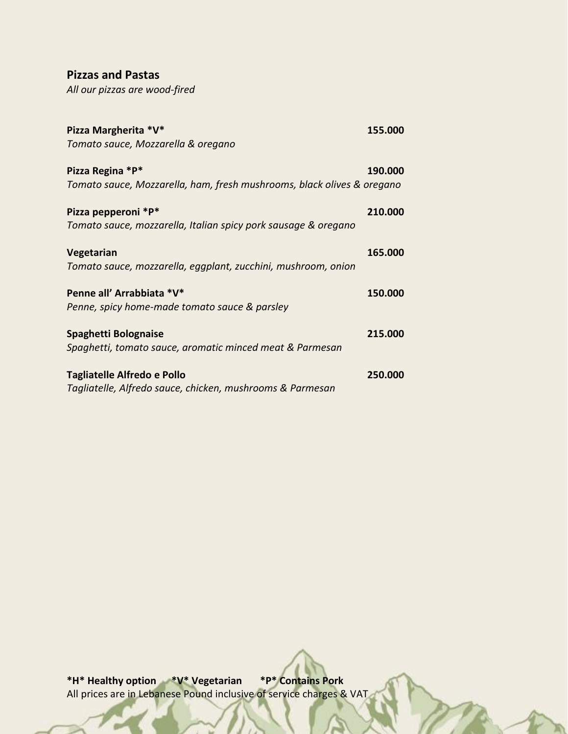### **Pizzas and Pastas**

*All our pizzas are wood-fired*

| Pizza Margherita *V*                                                   | 155.000 |
|------------------------------------------------------------------------|---------|
| Tomato sauce, Mozzarella & oregano                                     |         |
| Pizza Regina *P*                                                       | 190.000 |
| Tomato sauce, Mozzarella, ham, fresh mushrooms, black olives & oregano |         |
| Pizza pepperoni *P*                                                    | 210,000 |
| Tomato sauce, mozzarella, Italian spicy pork sausage & oregano         |         |
| Vegetarian                                                             | 165.000 |
| Tomato sauce, mozzarella, eggplant, zucchini, mushroom, onion          |         |
| Penne all' Arrabbiata *V*                                              | 150.000 |
| Penne, spicy home-made tomato sauce & parsley                          |         |
| Spaghetti Bolognaise                                                   | 215.000 |
| Spaghetti, tomato sauce, aromatic minced meat & Parmesan               |         |
| Tagliatelle Alfredo e Pollo                                            | 250.000 |
| Tagliatelle, Alfredo sauce, chicken, mushrooms & Parmesan              |         |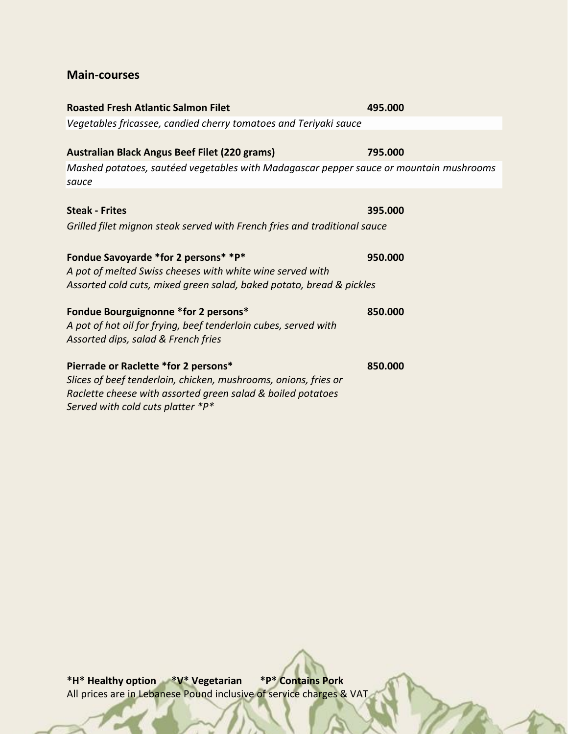### **Main-courses**

| <b>Roasted Fresh Atlantic Salmon Filet</b>                                                      | 495.000 |
|-------------------------------------------------------------------------------------------------|---------|
| Vegetables fricassee, candied cherry tomatoes and Teriyaki sauce                                |         |
|                                                                                                 |         |
| <b>Australian Black Angus Beef Filet (220 grams)</b>                                            | 795.000 |
| Mashed potatoes, sautéed vegetables with Madagascar pepper sauce or mountain mushrooms<br>sauce |         |
|                                                                                                 |         |
| <b>Steak - Frites</b>                                                                           | 395.000 |
| Grilled filet mignon steak served with French fries and traditional sauce                       |         |
|                                                                                                 |         |
| Fondue Savoyarde *for 2 persons* *P*                                                            | 950.000 |
| A pot of melted Swiss cheeses with white wine served with                                       |         |
| Assorted cold cuts, mixed green salad, baked potato, bread & pickles                            |         |
| Fondue Bourguignonne *for 2 persons*                                                            | 850.000 |
| A pot of hot oil for frying, beef tenderloin cubes, served with                                 |         |
| Assorted dips, salad & French fries                                                             |         |
|                                                                                                 |         |
| Pierrade or Raclette *for 2 persons*                                                            | 850.000 |
| Slices of beef tenderloin, chicken, mushrooms, onions, fries or                                 |         |
| Raclette cheese with assorted green salad & boiled potatoes                                     |         |
| Served with cold cuts platter *P*                                                               |         |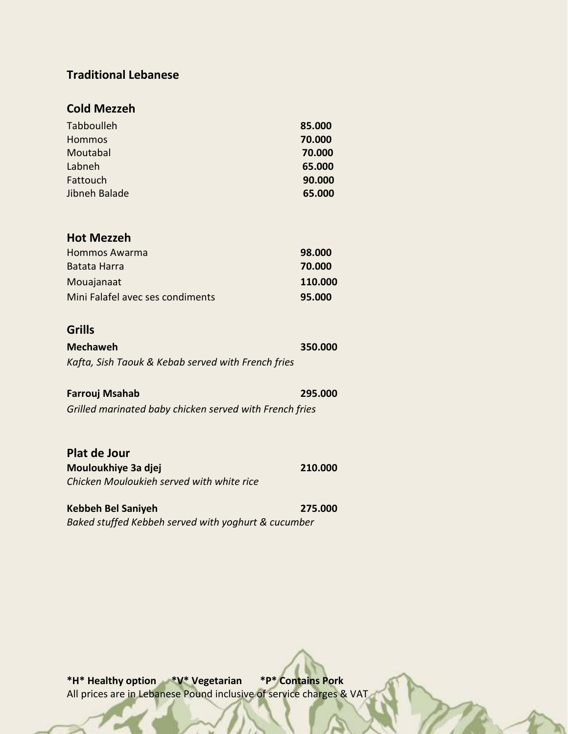## **Traditional Lebanese**

## **Cold Mezzeh**

| Tabboulleh    | 85.000 |
|---------------|--------|
| <b>Hommos</b> | 70.000 |
| Moutabal      | 70.000 |
| Labneh        | 65.000 |
| Fattouch      | 90.000 |
| Jibneh Balade | 65.000 |

### **Hot Mezzeh**

| Hommos Awarma                    | 98.000  |
|----------------------------------|---------|
| Batata Harra                     | 70.000  |
| Mouajanaat                       | 110.000 |
| Mini Falafel avec ses condiments | 95.000  |

# **Grills**

| <b>Mechaweh</b>                                    | 350.000 |
|----------------------------------------------------|---------|
| Kafta, Sish Taouk & Kebab served with French fries |         |

| Farrouj Msahab                                          | 295.000 |
|---------------------------------------------------------|---------|
| Grilled marinated baby chicken served with French fries |         |

| Plat de Jour                              |         |
|-------------------------------------------|---------|
| Mouloukhiye 3a djej                       | 210.000 |
| Chicken Mouloukieh served with white rice |         |

**Kebbeh Bel Saniyeh 275.000** *Baked stuffed Kebbeh served with yoghurt & cucumber*